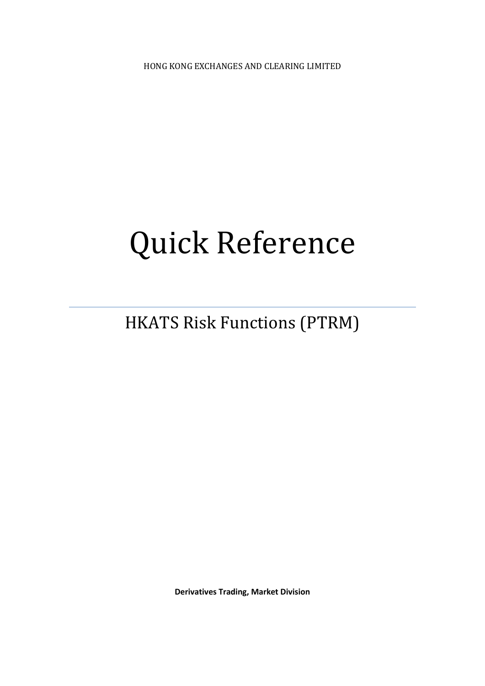HONG KONG EXCHANGES AND CLEARING LIMITED

# Quick Reference

HKATS Risk Functions (PTRM)

**Derivatives Trading, Market Division**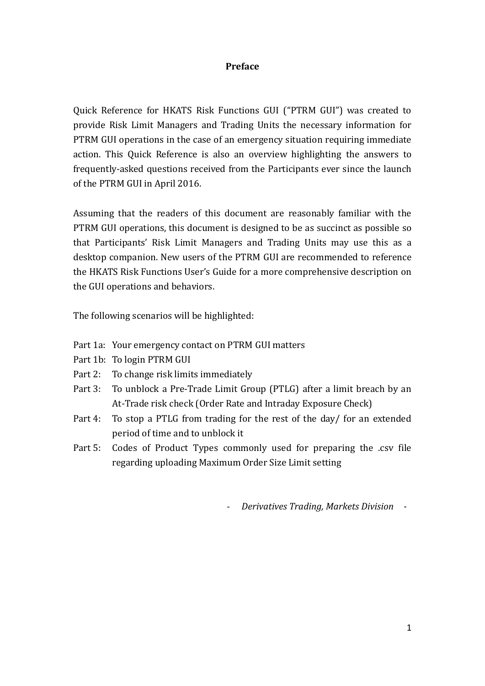### **Preface**

Quick Reference for HKATS Risk Functions GUI ("PTRM GUI") was created to provide Risk Limit Managers and Trading Units the necessary information for PTRM GUI operations in the case of an emergency situation requiring immediate action. This Quick Reference is also an overview highlighting the answers to frequently-asked questions received from the Participants ever since the launch of the PTRM GUI in April 2016.

Assuming that the readers of this document are reasonably familiar with the PTRM GUI operations, this document is designed to be as succinct as possible so that Participants' Risk Limit Managers and Trading Units may use this as a desktop companion. New users of the PTRM GUI are recommended to reference the HKATS Risk Functions User's Guide for a more comprehensive description on the GUI operations and behaviors.

The following scenarios will be highlighted:

- Part 1a: Your emergency contact on PTRM GUI matters
- Part 1b: To login PTRM GUI
- Part 2: To change risk limits immediately
- Part 3: To unblock a Pre-Trade Limit Group (PTLG) after a limit breach by an At-Trade risk check (Order Rate and Intraday Exposure Check)
- Part 4: To stop a PTLG from trading for the rest of the day/ for an extended period of time and to unblock it
- Part 5: Codes of Product Types commonly used for preparing the .csv file regarding uploading Maximum Order Size Limit setting

- *Derivatives Trading, Markets Division -*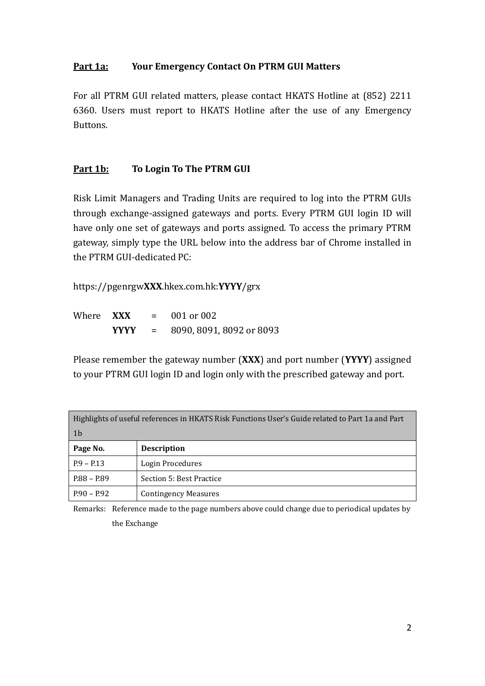## **Part 1a: Your Emergency Contact On PTRM GUI Matters**

For all PTRM GUI related matters, please contact HKATS Hotline at (852) 2211 6360. Users must report to HKATS Hotline after the use of any Emergency Buttons.

### **Part 1b: To Login To The PTRM GUI**

Risk Limit Managers and Trading Units are required to log into the PTRM GUIs through exchange-assigned gateways and ports. Every PTRM GUI login ID will have only one set of gateways and ports assigned. To access the primary PTRM gateway, simply type the URL below into the address bar of Chrome installed in the PTRM GUI-dedicated PC:

https://pgenrgw**XXX**.hkex.com.hk:**YYYY**/grx

Where **XXX** = 001 or 002 **YYYY** = 8090, 8091, 8092 or 8093

Please remember the gateway number (**XXX**) and port number (**YYYY**) assigned to your PTRM GUI login ID and login only with the prescribed gateway and port.

| Highlights of useful references in HKATS Risk Functions User's Guide related to Part 1a and Part |                             |  |
|--------------------------------------------------------------------------------------------------|-----------------------------|--|
| $\vert$ 1b                                                                                       |                             |  |
| Page No.                                                                                         | <b>Description</b>          |  |
| $P.9 - P.13$                                                                                     | Login Procedures            |  |
| $P.88 - P.89$                                                                                    | Section 5: Best Practice    |  |
| $P.90 - P.92$                                                                                    | <b>Contingency Measures</b> |  |

Remarks: Reference made to the page numbers above could change due to periodical updates by the Exchange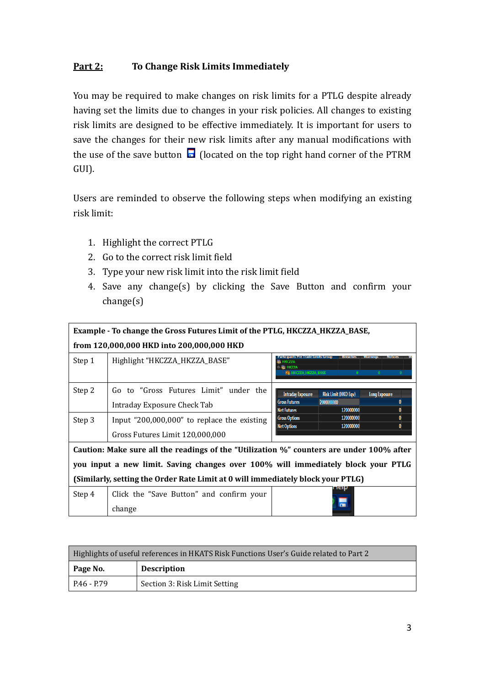## **Part 2: To Change Risk Limits Immediately**

You may be required to make changes on risk limits for a PTLG despite already having set the limits due to changes in your risk policies. All changes to existing risk limits are designed to be effective immediately. It is important for users to save the changes for their new risk limits after any manual modifications with the use of the save button  $\blacksquare$  (located on the top right hand corner of the PTRM GUI).

Users are reminded to observe the following steps when modifying an existing risk limit:

- 1. Highlight the correct PTLG
- 2. Go to the correct risk limit field
- 3. Type your new risk limit into the risk limit field
- 4. Save any change(s) by clicking the Save Button and confirm your change(s)

| Example - To change the Gross Futures Limit of the PTLG, HKCZZA_HKZZA_BASE,     |                                                                                          |                                                                                                                                                         |  |  |  |
|---------------------------------------------------------------------------------|------------------------------------------------------------------------------------------|---------------------------------------------------------------------------------------------------------------------------------------------------------|--|--|--|
|                                                                                 | from 120,000,000 HKD into 200,000,000 HKD                                                |                                                                                                                                                         |  |  |  |
| Step 1                                                                          | Highlight "HKCZZA_HKZZA_BASE"                                                            | Breaches<br>Participants Pre Trade Limits Group<br><b>WE HKZZA</b><br><b>FR HKCZZA HKZZA BASE</b>                                                       |  |  |  |
| Step 2                                                                          | Go to "Gross Futures Limit" under the<br>Intraday Exposure Check Tab                     | <b>Risk Limit (HKD Eqv)</b><br><b>Intraday Exposure</b><br><b>Long Exposure</b><br>200000000<br><b>Gross Futures</b><br>120000000<br><b>Net Futures</b> |  |  |  |
| Step 3                                                                          | Input "200,000,000" to replace the existing                                              | <b>Gross Options</b><br>120000000<br><b>Net Options</b><br>120000000                                                                                    |  |  |  |
|                                                                                 | Gross Futures Limit 120,000,000                                                          |                                                                                                                                                         |  |  |  |
|                                                                                 | Caution: Make sure all the readings of the "Utilization %" counters are under 100% after |                                                                                                                                                         |  |  |  |
|                                                                                 | you input a new limit. Saving changes over 100% will immediately block your PTLG         |                                                                                                                                                         |  |  |  |
| (Similarly, setting the Order Rate Limit at 0 will immediately block your PTLG) |                                                                                          |                                                                                                                                                         |  |  |  |
| Step 4                                                                          | Click the "Save Button" and confirm your                                                 |                                                                                                                                                         |  |  |  |
|                                                                                 | change                                                                                   |                                                                                                                                                         |  |  |  |

| Highlights of useful references in HKATS Risk Functions User's Guide related to Part 2 |                               |  |
|----------------------------------------------------------------------------------------|-------------------------------|--|
| Page No.                                                                               | <b>Description</b>            |  |
| P.46 - P.79                                                                            | Section 3: Risk Limit Setting |  |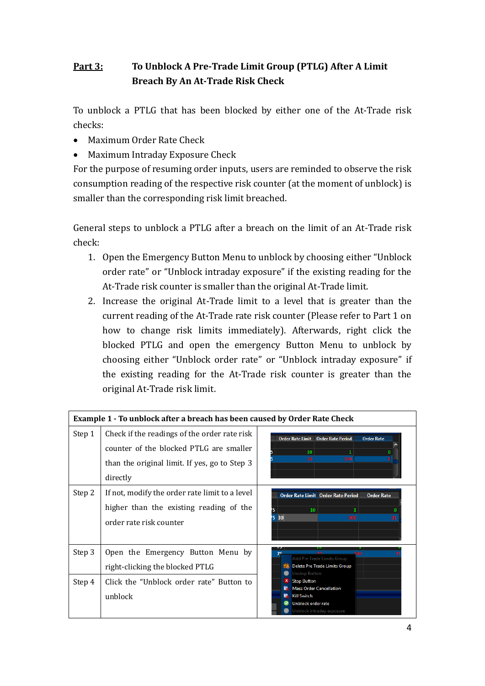# **Part 3: To Unblock A Pre-Trade Limit Group (PTLG) After A Limit Breach By An At-Trade Risk Check**

To unblock a PTLG that has been blocked by either one of the At-Trade risk checks:

- Maximum Order Rate Check
- Maximum Intraday Exposure Check

For the purpose of resuming order inputs, users are reminded to observe the risk consumption reading of the respective risk counter (at the moment of unblock) is smaller than the corresponding risk limit breached.

General steps to unblock a PTLG after a breach on the limit of an At-Trade risk check:

- 1. Open the Emergency Button Menu to unblock by choosing either "Unblock order rate" or "Unblock intraday exposure" if the existing reading for the At-Trade risk counter is smaller than the original At-Trade limit.
- 2. Increase the original At-Trade limit to a level that is greater than the current reading of the At-Trade rate risk counter (Please refer to Part 1 on how to change risk limits immediately). Afterwards, right click the blocked PTLG and open the emergency Button Menu to unblock by choosing either "Unblock order rate" or "Unblock intraday exposure" if the existing reading for the At-Trade risk counter is greater than the original At-Trade risk limit.

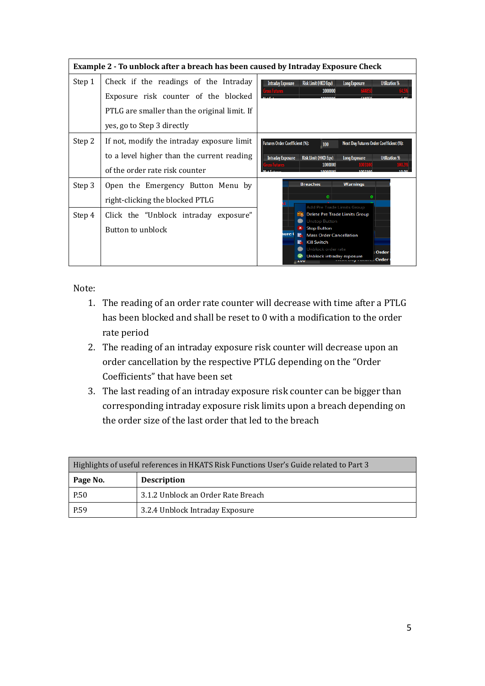|        | Example 2 - To unblock after a breach has been caused by Intraday Exposure Check                                                                            |                                                                                                                                                                                                                                             |  |  |
|--------|-------------------------------------------------------------------------------------------------------------------------------------------------------------|---------------------------------------------------------------------------------------------------------------------------------------------------------------------------------------------------------------------------------------------|--|--|
| Step 1 | Check if the readings of the Intraday<br>Exposure risk counter of the blocked<br>PTLG are smaller than the original limit. If<br>yes, go to Step 3 directly | <b>Risk Limit (HKD Eqv)</b><br><b>Intraday Exposure</b><br><b>Utilization %</b><br><b>Long Exposure</b><br>1000000                                                                                                                          |  |  |
| Step 2 | If not, modify the intraday exposure limit<br>to a level higher than the current reading<br>of the order rate risk counter                                  | <b>Futures Order Coefficient (%):</b><br><b>Next Day Futures Order Coefficient (%):</b><br>100<br><b>Risk Limit (HKD Eqv)</b><br><b>Intraday Exposure</b><br><b>Long Exposure</b><br><b>Utilization %</b><br>1000000<br>1002100<br>10000000 |  |  |
| Step 3 | Open the Emergency Button Menu by<br>right-clicking the blocked PTLG                                                                                        | <b>Breaches</b><br><b>Warnings</b><br>$\bullet$<br>$\bf{o}$<br>Add Pre Trade Limits Group                                                                                                                                                   |  |  |
| Step 4 | Click the "Unblock intraday exposure"<br>Button to unblock                                                                                                  | <b>Delete Pre Trade Limits Group</b><br><b>Unstop Button</b><br><b>Stop Button</b><br><b>ure</b><br><b>Mass Order Cancellation</b><br><b>Kill Switch</b><br>Unblock order rate<br>Order<br>Unblock intraday exposure<br>Order<br>zuu        |  |  |

Note:

- 1. The reading of an order rate counter will decrease with time after a PTLG has been blocked and shall be reset to 0 with a modification to the order rate period
- 2. The reading of an intraday exposure risk counter will decrease upon an order cancellation by the respective PTLG depending on the "Order Coefficients" that have been set
- 3. The last reading of an intraday exposure risk counter can be bigger than corresponding intraday exposure risk limits upon a breach depending on the order size of the last order that led to the breach

| Highlights of useful references in HKATS Risk Functions User's Guide related to Part 3 |                                    |  |
|----------------------------------------------------------------------------------------|------------------------------------|--|
| Page No.                                                                               | <b>Description</b>                 |  |
| P.50                                                                                   | 3.1.2 Unblock an Order Rate Breach |  |
| P.59                                                                                   | 3.2.4 Unblock Intraday Exposure    |  |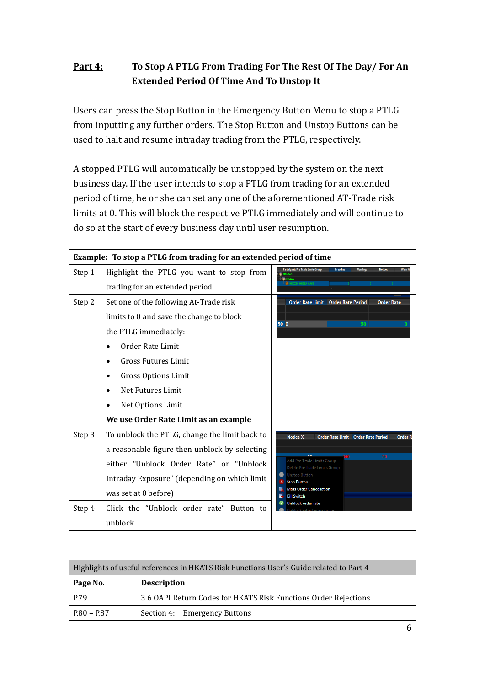## **Part 4: To Stop A PTLG From Trading For The Rest Of The Day/ For An Extended Period Of Time And To Unstop It**

Users can press the Stop Button in the Emergency Button Menu to stop a PTLG from inputting any further orders. The Stop Button and Unstop Buttons can be used to halt and resume intraday trading from the PTLG, respectively.

A stopped PTLG will automatically be unstopped by the system on the next business day. If the user intends to stop a PTLG from trading for an extended period of time, he or she can set any one of the aforementioned AT-Trade risk limits at 0. This will block the respective PTLG immediately and will continue to do so at the start of every business day until user resumption.

|        | Example: To stop a PTLG from trading for an extended period of time |                                                                                                       |  |
|--------|---------------------------------------------------------------------|-------------------------------------------------------------------------------------------------------|--|
| Step 1 | Highlight the PTLG you want to stop from                            | Warnings<br><b>Notices</b><br><b>Participants Pre Trade Limits Group</b><br><b>Breaches</b><br>Warn % |  |
|        | trading for an extended period                                      | <b>THICZZA HKZZA BASE</b>                                                                             |  |
| Step 2 | Set one of the following At-Trade risk                              | Order Rate Limit  Order Rate Period<br><b>Order Rate</b>                                              |  |
|        | limits to 0 and save the change to block                            | 50 O<br>50                                                                                            |  |
|        | the PTLG immediately:                                               |                                                                                                       |  |
|        | Order Rate Limit                                                    |                                                                                                       |  |
|        | <b>Gross Futures Limit</b>                                          |                                                                                                       |  |
|        | Gross Options Limit                                                 |                                                                                                       |  |
|        | Net Futures Limit                                                   |                                                                                                       |  |
|        | Net Options Limit                                                   |                                                                                                       |  |
|        | We use Order Rate Limit as an example                               |                                                                                                       |  |
| Step 3 | To unblock the PTLG, change the limit back to                       | <b>Notice %</b><br><b>Order Rate Limit</b><br><b>Order Rate Period</b><br><b>Order F</b>              |  |
|        | a reasonable figure then unblock by selecting                       | 50<br>100                                                                                             |  |
|        | either "Unblock Order Rate" or "Unblock                             | Add Pre Trade Limits Group<br>Delete Pre Trade Limits Group                                           |  |
|        | Intraday Exposure" (depending on which limit                        | <b>Unstop Button</b><br><b>Stop Button</b>                                                            |  |
|        | was set at 0 before)                                                | <b>Mass Order Cancellation</b><br><b>Kill Switch</b>                                                  |  |
| Step 4 | Click the "Unblock order rate" Button to                            | Unblock order rate                                                                                    |  |
|        | unblock                                                             |                                                                                                       |  |

| Highlights of useful references in HKATS Risk Functions User's Guide related to Part 4 |                                                                 |  |
|----------------------------------------------------------------------------------------|-----------------------------------------------------------------|--|
| Page No.                                                                               | <b>Description</b>                                              |  |
| P.79                                                                                   | 3.6 OAPI Return Codes for HKATS Risk Functions Order Rejections |  |
| P.80 – P.87                                                                            | Section 4: Emergency Buttons                                    |  |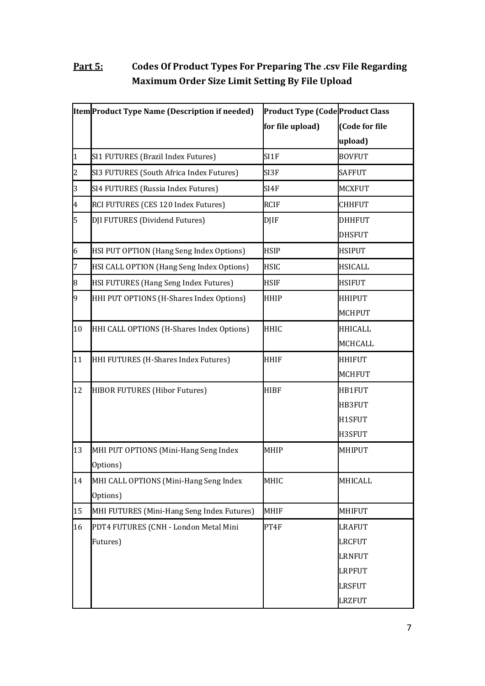# **Part 5: Codes Of Product Types For Preparing The .csv File Regarding Maximum Order Size Limit Setting By File Upload**

|                         | Item Product Type Name (Description if needed) | <b>Product Type (Code Product Class</b> |                |
|-------------------------|------------------------------------------------|-----------------------------------------|----------------|
|                         |                                                | for file upload)                        | (Code for file |
|                         |                                                |                                         | upload)        |
| $\mathbf{1}$            | SI1 FUTURES (Brazil Index Futures)             | SI1F                                    | <b>BOVFUT</b>  |
| $\overline{c}$          | SI3 FUTURES (South Africa Index Futures)       | SI3F                                    | <b>SAFFUT</b>  |
| 3                       | SI4 FUTURES (Russia Index Futures)             | SI4F                                    | <b>MCXFUT</b>  |
| $\overline{\mathbf{4}}$ | RCI FUTURES (CES 120 Index Futures)            | <b>RCIF</b>                             | <b>CHHFUT</b>  |
| 5                       | DJI FUTURES (Dividend Futures)                 | <b>DJIF</b>                             | <b>DHHFUT</b>  |
|                         |                                                |                                         | <b>DHSFUT</b>  |
| 6                       | HSI PUT OPTION (Hang Seng Index Options)       | <b>HSIP</b>                             | <b>HSIPUT</b>  |
| $\overline{7}$          | HSI CALL OPTION (Hang Seng Index Options)      | <b>HSIC</b>                             | <b>HSICALL</b> |
| 8                       | HSI FUTURES (Hang Seng Index Futures)          | <b>HSIF</b>                             | <b>HSIFUT</b>  |
| 9                       | HHI PUT OPTIONS (H-Shares Index Options)       | <b>HHIP</b>                             | <b>HHIPUT</b>  |
|                         |                                                |                                         | <b>MCHPUT</b>  |
| 10                      | HHI CALL OPTIONS (H-Shares Index Options)      | <b>HHIC</b>                             | <b>HHICALL</b> |
|                         |                                                |                                         | <b>MCHCALL</b> |
| 11                      | HHI FUTURES (H-Shares Index Futures)           | <b>HHIF</b>                             | <b>HHIFUT</b>  |
|                         |                                                |                                         | <b>MCHFUT</b>  |
| 12                      | HIBOR FUTURES (Hibor Futures)                  | <b>HIBF</b>                             | HB1FUT         |
|                         |                                                |                                         | HB3FUT         |
|                         |                                                |                                         | H1SFUT         |
|                         |                                                |                                         | H3SFUT         |
| 13                      | MHI PUT OPTIONS (Mini-Hang Seng Index          | <b>MHIP</b>                             | MHIPUT         |
|                         | Options)                                       |                                         |                |
| 14                      | MHI CALL OPTIONS (Mini-Hang Seng Index         | MHIC                                    | MHICALL        |
|                         | Options)                                       |                                         |                |
| 15                      | MHI FUTURES (Mini-Hang Seng Index Futures)     | <b>MHIF</b>                             | MHIFUT         |
| 16                      | PDT4 FUTURES (CNH - London Metal Mini          | PT4F                                    | <b>LRAFUT</b>  |
|                         | Futures)                                       |                                         | LRCFUT         |
|                         |                                                |                                         | <b>LRNFUT</b>  |
|                         |                                                |                                         | <b>LRPFUT</b>  |
|                         |                                                |                                         | LRSFUT         |
|                         |                                                |                                         | LRZFUT         |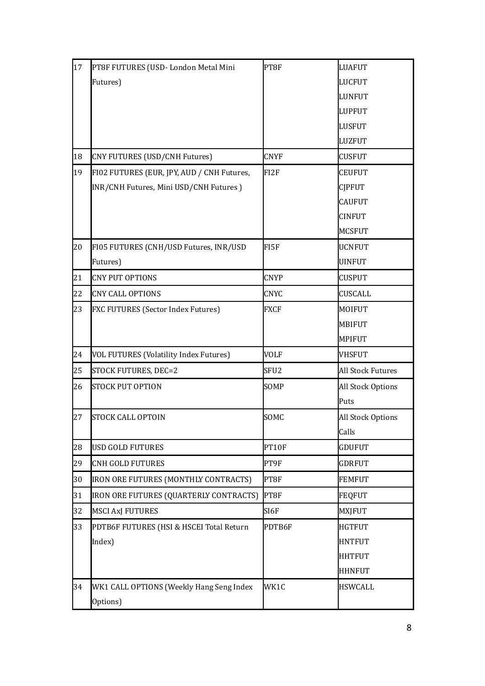| 17 | PT8F FUTURES (USD-London Metal Mini        | PT8F             | <b>LUAFUT</b>            |
|----|--------------------------------------------|------------------|--------------------------|
|    | Futures)                                   |                  | <b>LUCFUT</b>            |
|    |                                            |                  | <b>LUNFUT</b>            |
|    |                                            |                  | <b>LUPFUT</b>            |
|    |                                            |                  | <b>LUSFUT</b>            |
|    |                                            |                  | LUZFUT                   |
| 18 | CNY FUTURES (USD/CNH Futures)              | <b>CNYF</b>      | CUSFUT                   |
| 19 | FI02 FUTURES (EUR, JPY, AUD / CNH Futures, | FI2F             | <b>CEUFUT</b>            |
|    | INR/CNH Futures, Mini USD/CNH Futures)     |                  | <b>CJPFUT</b>            |
|    |                                            |                  | <b>CAUFUT</b>            |
|    |                                            |                  | <b>CINFUT</b>            |
|    |                                            |                  | <b>MCSFUT</b>            |
| 20 | FI05 FUTURES (CNH/USD Futures, INR/USD     | FI5F             | <b>UCNFUT</b>            |
|    | Futures)                                   |                  | <b>UINFUT</b>            |
| 21 | <b>CNY PUT OPTIONS</b>                     | <b>CNYP</b>      | <b>CUSPUT</b>            |
| 22 | <b>CNY CALL OPTIONS</b>                    | <b>CNYC</b>      | <b>CUSCALL</b>           |
| 23 | FXC FUTURES (Sector Index Futures)         | <b>FXCF</b>      | MOIFUT                   |
|    |                                            |                  | <b>MBIFUT</b>            |
|    |                                            |                  | <b>MPIFUT</b>            |
| 24 | VOL FUTURES (Volatility Index Futures)     | <b>VOLF</b>      | <b>VHSFUT</b>            |
| 25 | STOCK FUTURES, DEC=2                       | SFU <sub>2</sub> | <b>All Stock Futures</b> |
| 26 | <b>STOCK PUT OPTION</b>                    | SOMP             | All Stock Options        |
|    |                                            |                  | Puts                     |
| 27 | STOCK CALL OPTOIN                          | SOMC             | All Stock Options        |
|    |                                            |                  | Calls                    |
| 28 | <b>USD GOLD FUTURES</b>                    | PT10F            | <b>GDUFUT</b>            |
| 29 | <b>CNH GOLD FUTURES</b>                    | PT9F             | <b>GDRFUT</b>            |
| 30 | IRON ORE FUTURES (MONTHLY CONTRACTS)       | PT8F             | <b>FEMFUT</b>            |
| 31 | IRON ORE FUTURES (QUARTERLY CONTRACTS)     | PT8F             | FEQFUT                   |
| 32 | <b>MSCI AxJ FUTURES</b>                    | SI6F             | <b>MXJFUT</b>            |
| 33 | PDTB6F FUTURES (HSI & HSCEI Total Return   | PDTB6F           | <b>HGTFUT</b>            |
|    | Index)                                     |                  | <b>HNTFUT</b>            |
|    |                                            |                  | <b>HHTFUT</b>            |
|    |                                            |                  | <b>HHNFUT</b>            |
| 34 | WK1 CALL OPTIONS (Weekly Hang Seng Index   | WK1C             | <b>HSWCALL</b>           |
|    | Options)                                   |                  |                          |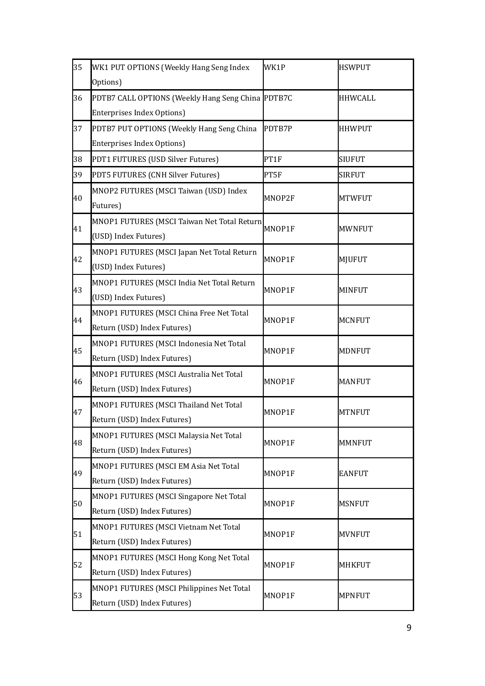| 35 | WK1 PUT OPTIONS (Weekly Hang Seng Index           | WK1P   | <b>HSWPUT</b>  |
|----|---------------------------------------------------|--------|----------------|
|    | Options)                                          |        |                |
| 36 | PDTB7 CALL OPTIONS (Weekly Hang Seng China PDTB7C |        | <b>HHWCALL</b> |
|    | Enterprises Index Options)                        |        |                |
| 37 | PDTB7 PUT OPTIONS (Weekly Hang Seng China         | PDTB7P | <b>HHWPUT</b>  |
|    | <b>Enterprises Index Options)</b>                 |        |                |
| 38 | PDT1 FUTURES (USD Silver Futures)                 | PT1F   | <b>SIUFUT</b>  |
| 39 | PDT5 FUTURES (CNH Silver Futures)                 | PT5F   | <b>SIRFUT</b>  |
|    | MNOP2 FUTURES (MSCI Taiwan (USD) Index            |        |                |
| 40 | Futures)                                          | MNOP2F | <b>MTWFUT</b>  |
|    | MNOP1 FUTURES (MSCI Taiwan Net Total Return       |        |                |
| 41 | (USD) Index Futures)                              | MNOP1F | <b>MWNFUT</b>  |
|    | MNOP1 FUTURES (MSCI Japan Net Total Return        |        |                |
| 42 | (USD) Index Futures)                              | MNOP1F | MJUFUT         |
|    | MNOP1 FUTURES (MSCI India Net Total Return        |        |                |
| 43 | (USD) Index Futures)                              | MNOP1F | <b>MINFUT</b>  |
| 44 | MNOP1 FUTURES (MSCI China Free Net Total          | MNOP1F | <b>MCNFUT</b>  |
|    | Return (USD) Index Futures)                       |        |                |
| 45 | MNOP1 FUTURES (MSCI Indonesia Net Total           | MNOP1F | <b>MDNFUT</b>  |
|    | Return (USD) Index Futures)                       |        |                |
| 46 | MNOP1 FUTURES (MSCI Australia Net Total           | MNOP1F | <b>MANFUT</b>  |
|    | Return (USD) Index Futures)                       |        |                |
| 47 | MNOP1 FUTURES (MSCI Thailand Net Total            | MNOP1F | <b>MTNFUT</b>  |
|    | Return (USD) Index Futures)                       |        |                |
| 48 | MNOP1 FUTURES (MSCI Malaysia Net Total            | MNOP1F | <b>MMNFUT</b>  |
|    | Return (USD) Index Futures)                       |        |                |
| 49 | MNOP1 FUTURES (MSCI EM Asia Net Total             | MNOP1F | <b>EANFUT</b>  |
|    | Return (USD) Index Futures)                       |        |                |
| 50 | MNOP1 FUTURES (MSCI Singapore Net Total           | MNOP1F | <b>MSNFUT</b>  |
|    | Return (USD) Index Futures)                       |        |                |
| 51 | MNOP1 FUTURES (MSCI Vietnam Net Total             | MNOP1F | <b>MVNFUT</b>  |
|    | Return (USD) Index Futures)                       |        |                |
| 52 | MNOP1 FUTURES (MSCI Hong Kong Net Total           | MNOP1F | MHKFUT         |
|    | Return (USD) Index Futures)                       |        |                |
| 53 | MNOP1 FUTURES (MSCI Philippines Net Total         | MNOP1F | <b>MPNFUT</b>  |
|    | Return (USD) Index Futures)                       |        |                |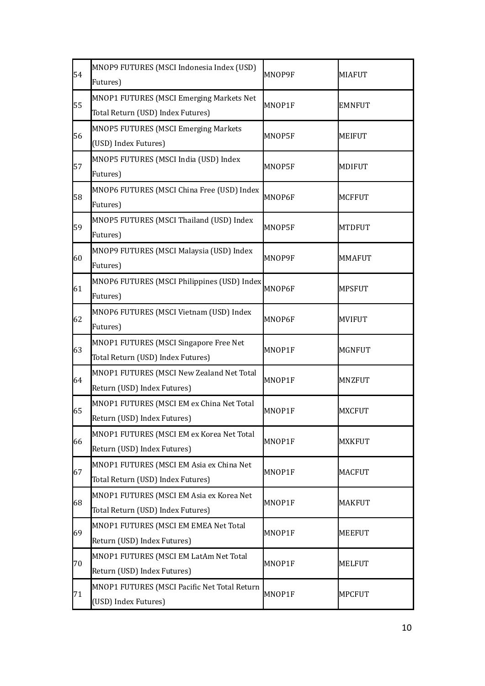| 54 | MNOP9 FUTURES (MSCI Indonesia Index (USD)<br>Futures)                         | MNOP9F | MIAFUT        |
|----|-------------------------------------------------------------------------------|--------|---------------|
| 55 | MNOP1 FUTURES (MSCI Emerging Markets Net<br>Total Return (USD) Index Futures) | MNOP1F | <b>EMNFUT</b> |
| 56 | MNOP5 FUTURES (MSCI Emerging Markets<br>(USD) Index Futures)                  | MNOP5F | <b>MEIFUT</b> |
| 57 | MNOP5 FUTURES (MSCI India (USD) Index<br>Futures)                             | MNOP5F | MDIFUT        |
| 58 | MNOP6 FUTURES (MSCI China Free (USD) Index<br>Futures)                        | MNOP6F | MCFFUT        |
| 59 | MNOP5 FUTURES (MSCI Thailand (USD) Index<br>Futures)                          | MNOP5F | <b>MTDFUT</b> |
| 60 | MNOP9 FUTURES (MSCI Malaysia (USD) Index<br>Futures)                          | MNOP9F | <b>MMAFUT</b> |
| 61 | MNOP6 FUTURES (MSCI Philippines (USD) Index<br>Futures)                       | MNOP6F | MPSFUT        |
| 62 | MNOP6 FUTURES (MSCI Vietnam (USD) Index<br>Futures)                           | MNOP6F | <b>MVIFUT</b> |
| 63 | MNOP1 FUTURES (MSCI Singapore Free Net<br>Total Return (USD) Index Futures)   | MNOP1F | MGNFUT        |
| 64 | MNOP1 FUTURES (MSCI New Zealand Net Total<br>Return (USD) Index Futures)      | MNOP1F | <b>MNZFUT</b> |
| 65 | MNOP1 FUTURES (MSCI EM ex China Net Total<br>Return (USD) Index Futures)      | MNOP1F | MXCFUT        |
| 66 | MNOP1 FUTURES (MSCI EM ex Korea Net Total<br>Return (USD) Index Futures)      | MNOP1F | MXKFUT        |
| 67 | MNOP1 FUTURES (MSCI EM Asia ex China Net<br>Total Return (USD) Index Futures) | MNOP1F | MACFUT        |
| 68 | MNOP1 FUTURES (MSCI EM Asia ex Korea Net<br>Total Return (USD) Index Futures) | MNOP1F | <b>MAKFUT</b> |
| 69 | MNOP1 FUTURES (MSCI EM EMEA Net Total<br>Return (USD) Index Futures)          | MNOP1F | MEEFUT        |
| 70 | MNOP1 FUTURES (MSCI EM LatAm Net Total<br>Return (USD) Index Futures)         | MNOP1F | <b>MELFUT</b> |
| 71 | MNOP1 FUTURES (MSCI Pacific Net Total Return<br>(USD) Index Futures)          | MNOP1F | <b>MPCFUT</b> |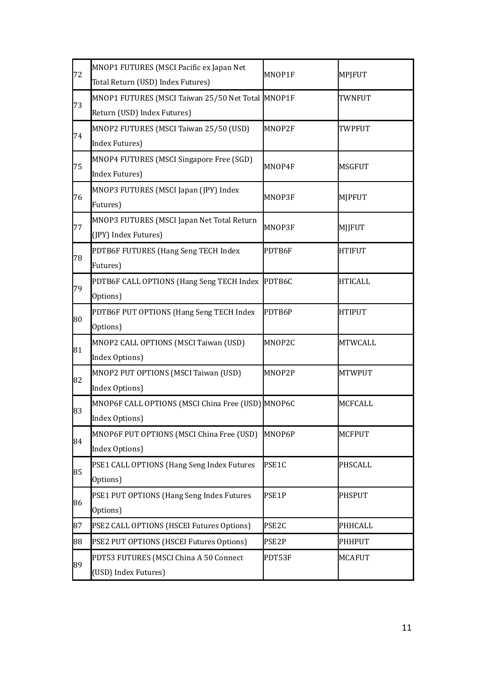|    | MNOP1 FUTURES (MSCI Pacific ex Japan Net          |                   |                |
|----|---------------------------------------------------|-------------------|----------------|
| 72 | Total Return (USD) Index Futures)                 | MNOP1F            | MPJFUT         |
| 73 | MNOP1 FUTURES (MSCI Taiwan 25/50 Net Total MNOP1F |                   | TWNFUT         |
|    | Return (USD) Index Futures)                       |                   |                |
| 74 | MNOP2 FUTURES (MSCI Taiwan 25/50 (USD)            | MNOP2F            | TWPFUT         |
|    | Index Futures)                                    |                   |                |
| 75 | MNOP4 FUTURES (MSCI Singapore Free (SGD)          | MNOP4F            | MSGFUT         |
|    | Index Futures)                                    |                   |                |
| 76 | MNOP3 FUTURES (MSCI Japan (JPY) Index             | MNOP3F            | <b>MJPFUT</b>  |
|    | Futures)                                          |                   |                |
| 77 | MNOP3 FUTURES (MSCI Japan Net Total Return        | MNOP3F            | MJJFUT         |
|    | (JPY) Index Futures)                              |                   |                |
| 78 | PDTB6F FUTURES (Hang Seng TECH Index              | PDTB6F            | <b>HTIFUT</b>  |
|    | Futures)                                          |                   |                |
| 79 | PDTB6F CALL OPTIONS (Hang Seng TECH Index PDTB6C  |                   | <b>HTICALL</b> |
|    | Options)                                          |                   |                |
|    | PDTB6F PUT OPTIONS (Hang Seng TECH Index          | PDTB6P            | <b>HTIPUT</b>  |
| 80 | Options)                                          |                   |                |
| 81 | MNOP2 CALL OPTIONS (MSCI Taiwan (USD)             | MNOP2C            | MTWCALL        |
|    | Index Options)                                    |                   |                |
| 82 | MNOP2 PUT OPTIONS (MSCI Taiwan (USD)              | MNOP2P            | <b>MTWPUT</b>  |
|    | Index Options)                                    |                   |                |
| 83 | MNOP6F CALL OPTIONS (MSCI China Free (USD) MNOP6C |                   | <b>MCFCALL</b> |
|    | Index Options)                                    |                   |                |
| 84 | MNOP6F PUT OPTIONS (MSCI China Free (USD)         | MNOP6P            | <b>MCFPUT</b>  |
|    | Index Options)                                    |                   |                |
| 85 | PSE1 CALL OPTIONS (Hang Seng Index Futures        | PSE1C             | PHSCALL        |
|    | Options)                                          |                   |                |
| 86 | PSE1 PUT OPTIONS (Hang Seng Index Futures         | PSE1P             | <b>PHSPUT</b>  |
|    | Options)                                          |                   |                |
| 87 | PSE2 CALL OPTIONS (HSCEI Futures Options)         | PSE <sub>2C</sub> | <b>PHHCALL</b> |
| 88 | PSE2 PUT OPTIONS (HSCEI Futures Options)          | PSE2P             | <b>PHHPUT</b>  |
|    | PDT53 FUTURES (MSCI China A 50 Connect            | PDT53F            | <b>MCAFUT</b>  |
| 89 | (USD) Index Futures)                              |                   |                |